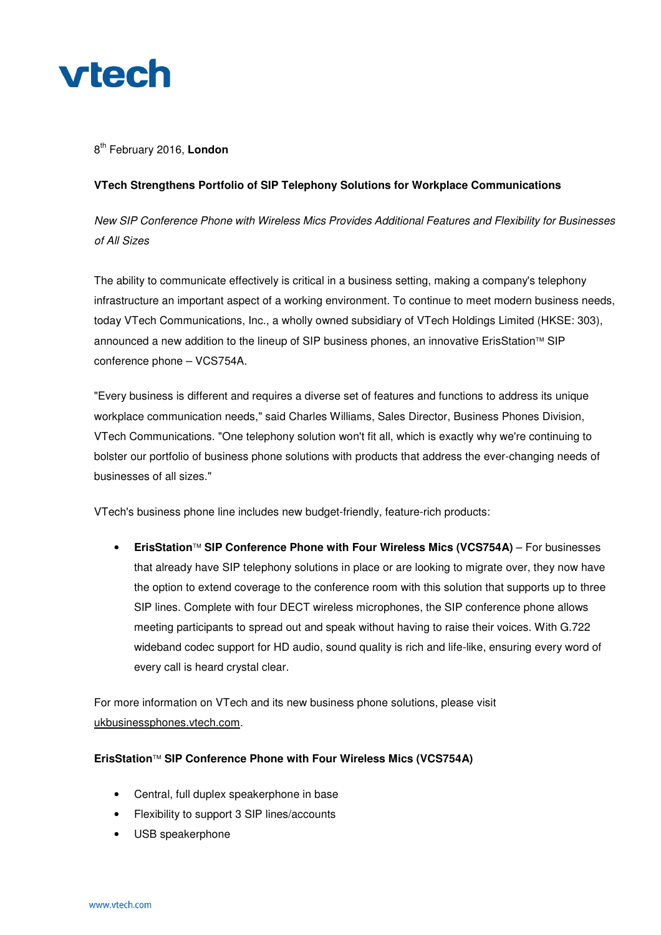

## 8 th February 2016, **London**

## **VTech Strengthens Portfolio of SIP Telephony Solutions for Workplace Communications**

*New SIP Conference Phone with Wireless Mics Provides Additional Features and Flexibility for Businesses of All Sizes*

The ability to communicate effectively is critical in a business setting, making a company's telephony infrastructure an important aspect of a working environment. To continue to meet modern business needs, today VTech Communications, Inc., a wholly owned subsidiary of VTech Holdings Limited (HKSE: 303), announced a new addition to the lineup of SIP business phones, an innovative ErisStation™ SIP conference phone – VCS754A.

"Every business is different and requires a diverse set of features and functions to address its unique workplace communication needs," said Charles Williams, Sales Director, Business Phones Division, VTech Communications. "One telephony solution won't fit all, which is exactly why we're continuing to bolster our portfolio of business phone solutions with products that address the ever-changing needs of businesses of all sizes."

VTech's business phone line includes new budget-friendly, feature-rich products:

• **ErisStation SIP Conference Phone with Four Wireless Mics (VCS754A)** – For businesses that already have SIP telephony solutions in place or are looking to migrate over, they now have the option to extend coverage to the conference room with this solution that supports up to three SIP lines. Complete with four DECT wireless microphones, the SIP conference phone allows meeting participants to spread out and speak without having to raise their voices. With G.722 wideband codec support for HD audio, sound quality is rich and life-like, ensuring every word of every call is heard crystal clear.

For more information on VTech and its new business phone solutions, please visit ukbusinessphones.vtech.com.

## **ErisStation SIP Conference Phone with Four Wireless Mics (VCS754A)**

- Central, full duplex speakerphone in base
- Flexibility to support 3 SIP lines/accounts
- USB speakerphone